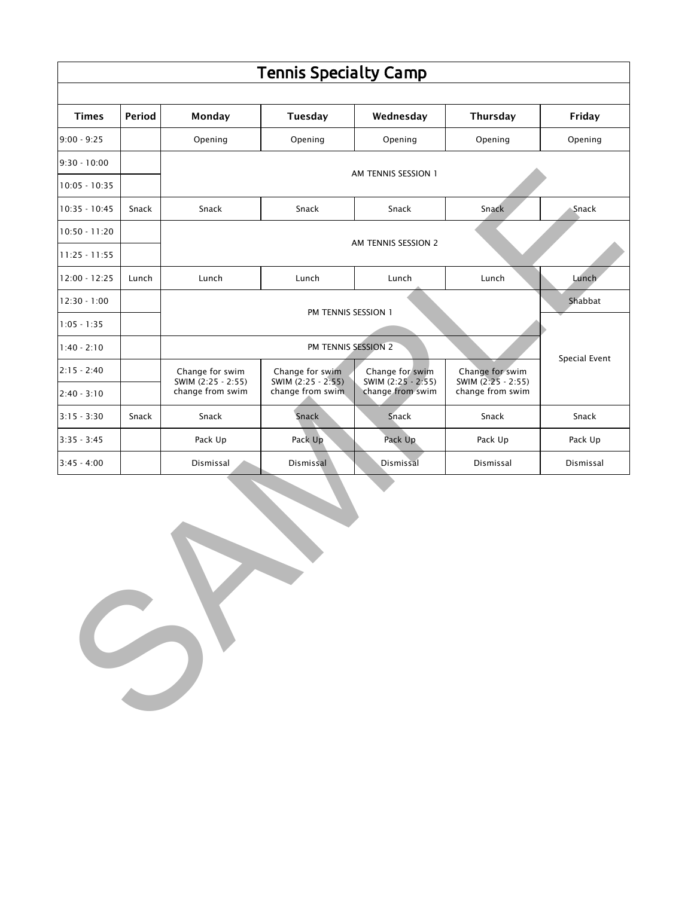|                 |        |                                        | <b>Tennis Specialty Camp</b>                              |                                                           |                                                           |               |  |  |
|-----------------|--------|----------------------------------------|-----------------------------------------------------------|-----------------------------------------------------------|-----------------------------------------------------------|---------------|--|--|
| <b>Times</b>    | Period | Monday                                 | Tuesday                                                   | Wednesday                                                 | Thursday                                                  | Friday        |  |  |
| $9:00 - 9:25$   |        | Opening                                | Opening                                                   | Opening                                                   | Opening                                                   | Opening       |  |  |
| $9:30 - 10:00$  |        |                                        |                                                           |                                                           |                                                           |               |  |  |
| $10:05 - 10:35$ |        | AM TENNIS SESSION 1                    |                                                           |                                                           |                                                           |               |  |  |
| $10:35 - 10:45$ | Snack  | Snack                                  | Snack                                                     | Snack                                                     | Snack                                                     | Snack         |  |  |
| $10:50 - 11:20$ |        |                                        |                                                           |                                                           |                                                           |               |  |  |
| $11:25 - 11:55$ |        |                                        |                                                           | AM TENNIS SESSION 2                                       |                                                           |               |  |  |
| $12:00 - 12:25$ | Lunch  | Lunch                                  | Lunch                                                     | Lunch                                                     | Lunch                                                     | Lunch         |  |  |
| $12:30 - 1:00$  |        |                                        |                                                           |                                                           |                                                           | Shabbat       |  |  |
| $1:05 - 1:35$   |        |                                        | PM TENNIS SESSION 1                                       |                                                           |                                                           |               |  |  |
| $1:40 - 2:10$   |        |                                        | PM TENNIS SESSION 2                                       |                                                           |                                                           | Special Event |  |  |
| $2:15 - 2:40$   |        | Change for swim                        | Change for swim<br>SWIM (2:25 - 2:55)<br>change from swim | Change for swim<br>SWIM (2:25 - 2:55)<br>change from swim | Change for swim<br>SWIM (2:25 - 2:55)<br>change from swim |               |  |  |
| $2:40 - 3:10$   |        | SWIM (2:25 - 2:55)<br>change from swim |                                                           |                                                           |                                                           |               |  |  |
| $3:15 - 3:30$   | Snack  | Snack                                  | Snack                                                     | Snack                                                     | Snack                                                     | Snack         |  |  |
| $3:35 - 3:45$   |        | Pack Up                                | Pack Up                                                   | Pack Up                                                   | Pack Up                                                   | Pack Up       |  |  |
| $3:45 - 4:00$   |        | Dismissal                              | Dismissal                                                 | Dismissal                                                 | Dismissal                                                 | Dismissal     |  |  |
|                 |        |                                        |                                                           |                                                           |                                                           |               |  |  |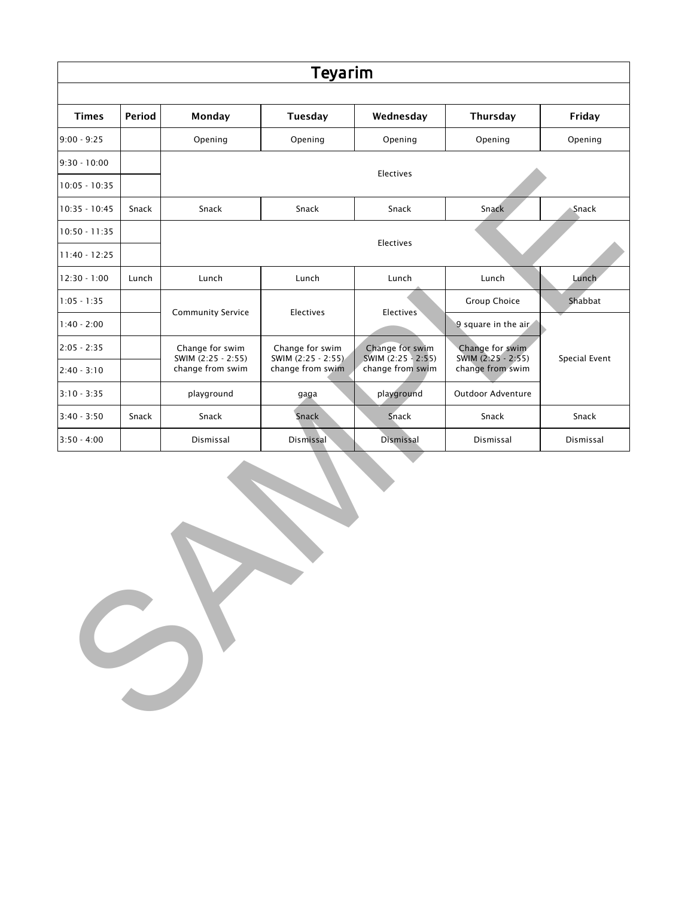| Teyarim         |        |                                       |                                                           |                                                           |                                       |               |  |
|-----------------|--------|---------------------------------------|-----------------------------------------------------------|-----------------------------------------------------------|---------------------------------------|---------------|--|
| <b>Times</b>    | Period | Monday                                | Tuesday                                                   | Wednesday                                                 | Thursday                              | Friday        |  |
| $9:00 - 9:25$   |        | Opening                               | Opening                                                   | Opening                                                   | Opening                               | Opening       |  |
| $9:30 - 10:00$  |        |                                       |                                                           |                                                           |                                       |               |  |
| $10:05 - 10:35$ |        | Electives                             |                                                           |                                                           |                                       |               |  |
| $10:35 - 10:45$ | Snack  | Snack                                 | Snack                                                     | Snack                                                     | Snack                                 | Snack         |  |
| $10:50 - 11:35$ |        |                                       |                                                           |                                                           |                                       |               |  |
| $11:40 - 12:25$ |        |                                       |                                                           | Electives                                                 |                                       |               |  |
| $12:30 - 1:00$  | Lunch  | Lunch                                 | Lunch                                                     | Lunch                                                     | Lunch                                 | Lunch         |  |
| $1:05 - 1:35$   |        |                                       | Electives                                                 | Electives                                                 | Group Choice                          | Shabbat       |  |
| $1:40 - 2:00$   |        | <b>Community Service</b>              |                                                           |                                                           | 9 square in the air                   |               |  |
| $2:05 - 2:35$   |        | Change for swim<br>SWIM (2:25 - 2:55) | Change for swim<br>SWIM (2:25 - 2:55)<br>change from swim | Change for swim<br>SWIM (2:25 - 2:55)<br>change from swim | Change for swim<br>SWIM (2:25 - 2:55) | Special Event |  |
| $2:40 - 3:10$   |        | change from swim                      |                                                           |                                                           | change from swim                      |               |  |
| $3:10 - 3:35$   |        | playground                            | gaga                                                      | playground                                                | Outdoor Adventure                     |               |  |
| $3:40 - 3:50$   | Snack  | Snack                                 | Snack                                                     | Snack                                                     | Snack                                 | Snack         |  |
| $3:50 - 4:00$   |        | Dismissal                             | Dismissal                                                 | Dismissal                                                 | Dismissal                             | Dismissal     |  |
|                 |        |                                       |                                                           |                                                           |                                       |               |  |